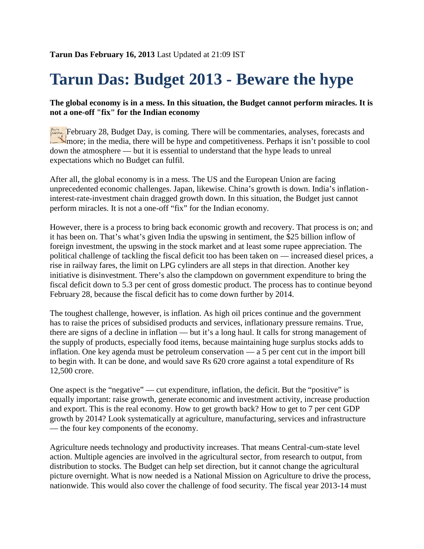## **Tarun Das: Budget 2013 - Beware the hype**

## **The global economy is in a mess. In this situation, the Budget cannot perform miracles. It is not a one-off "fix" for the Indian economy**

February 28, Budget Day, is coming. There will be commentaries, analyses, forecasts and more; in the media, there will be hype and competitiveness. Perhaps it isn't possible to cool down the atmosphere — but it is essential to understand that the hype leads to unreal expectations which no Budget can fulfil.

After all, the global economy is in a mess. The US and the European Union are facing unprecedented economic challenges. Japan, likewise. China's growth is down. India's inflationinterest-rate-investment chain dragged growth down. In this situation, the Budget just cannot perform miracles. It is not a one-off "fix" for the Indian economy.

However, there is a process to bring back economic growth and recovery. That process is on; and it has been on. That's what's given India the upswing in sentiment, the \$25 billion inflow of foreign investment, the upswing in the stock market and at least some rupee appreciation. The political challenge of tackling the fiscal deficit too has been taken on — increased diesel prices, a rise in railway fares, the limit on LPG cylinders are all steps in that direction. Another key initiative is disinvestment. There's also the clampdown on government expenditure to bring the fiscal deficit down to 5.3 per cent of gross domestic product. The process has to continue beyond February 28, because the fiscal deficit has to come down further by 2014.

The toughest challenge, however, is inflation. As high oil prices continue and the government has to raise the prices of subsidised products and services, inflationary pressure remains. True, there are signs of a decline in inflation — but it's a long haul. It calls for strong management of the supply of products, especially food items, because maintaining huge surplus stocks adds to inflation. One key agenda must be petroleum conservation — a 5 per cent cut in the import bill to begin with. It can be done, and would save Rs 620 crore against a total expenditure of Rs 12,500 crore.

One aspect is the "negative" — cut expenditure, inflation, the deficit. But the "positive" is equally important: raise growth, generate economic and investment activity, increase production and export. This is the real economy. How to get growth back? How to get to 7 per cent GDP growth by 2014? Look systematically at agriculture, manufacturing, services and infrastructure — the four key components of the economy.

Agriculture needs technology and productivity increases. That means Central-cum-state level action. Multiple agencies are involved in the agricultural sector, from research to output, from distribution to stocks. The Budget can help set direction, but it cannot change the agricultural picture overnight. What is now needed is a National Mission on Agriculture to drive the process, nationwide. This would also cover the challenge of food security. The fiscal year 2013-14 must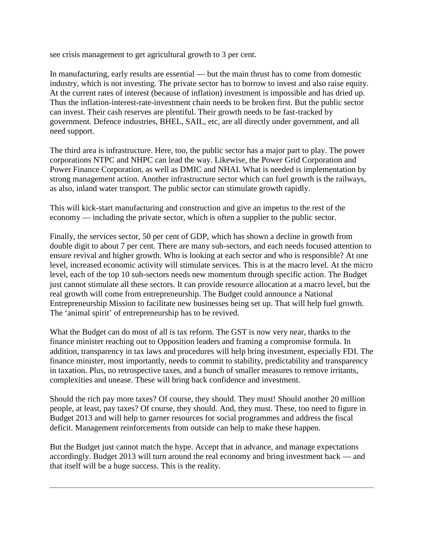see crisis management to get agricultural growth to 3 per cent.

In manufacturing, early results are essential — but the main thrust has to come from domestic industry, which is not investing. The private sector has to borrow to invest and also raise equity. At the current rates of interest (because of inflation) investment is impossible and has dried up. Thus the inflation-interest-rate-investment chain needs to be broken first. But the public sector can invest. Their cash reserves are plentiful. Their growth needs to be fast-tracked by government. Defence industries, BHEL, SAIL, etc, are all directly under government, and all need support.

The third area is infrastructure. Here, too, the public sector has a major part to play. The power corporations NTPC and NHPC can lead the way. Likewise, the Power Grid Corporation and Power Finance Corporation, as well as DMIC and NHAI. What is needed is implementation by strong management action. Another infrastructure sector which can fuel growth is the railways, as also, inland water transport. The public sector can stimulate growth rapidly.

This will kick-start manufacturing and construction and give an impetus to the rest of the economy — including the private sector, which is often a supplier to the public sector.

Finally, the services sector, 50 per cent of GDP, which has shown a decline in growth from double digit to about 7 per cent. There are many sub-sectors, and each needs focused attention to ensure revival and higher growth. Who is looking at each sector and who is responsible? At one level, increased economic activity will stimulate services. This is at the macro level. At the micro level, each of the top 10 sub-sectors needs new momentum through specific action. The Budget just cannot stimulate all these sectors. It can provide resource allocation at a macro level, but the real growth will come from entrepreneurship. The Budget could announce a National Entrepreneurship Mission to facilitate new businesses being set up. That will help fuel growth. The 'animal spirit' of entrepreneurship has to be revived.

What the Budget can do most of all is tax reform. The GST is now very near, thanks to the finance minister reaching out to Opposition leaders and framing a compromise formula. In addition, transparency in tax laws and procedures will help bring investment, especially FDI. The finance minister, most importantly, needs to commit to stability, predictability and transparency in taxation. Plus, no retrospective taxes, and a bunch of smaller measures to remove irritants, complexities and unease. These will bring back confidence and investment.

Should the rich pay more taxes? Of course, they should. They must! Should another 20 million people, at least, pay taxes? Of course, they should. And, they must. These, too need to figure in Budget 2013 and will help to garner resources for social programmes and address the fiscal deficit. Management reinforcements from outside can help to make these happen.

But the Budget just cannot match the hype. Accept that in advance, and manage expectations accordingly. Budget 2013 will turn around the real economy and bring investment back — and that itself will be a huge success. This is the reality.